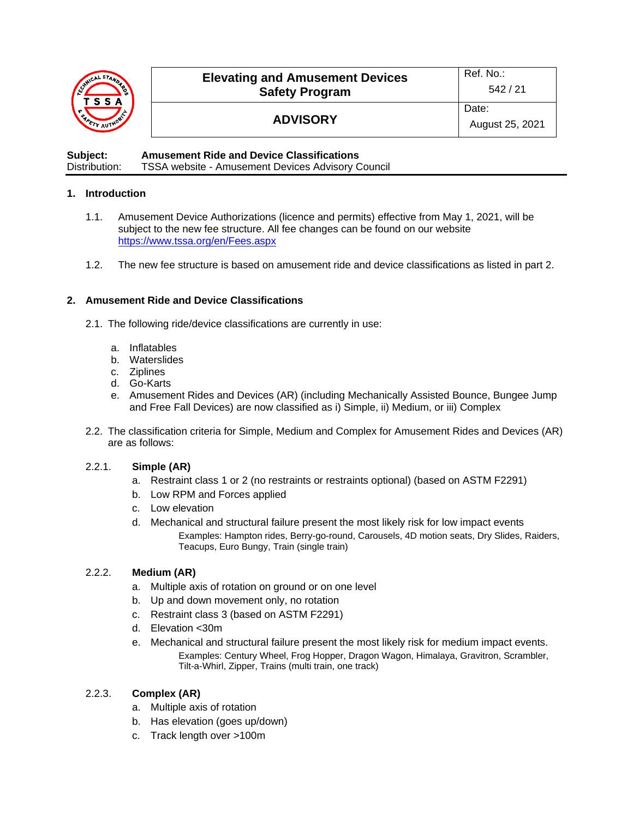

# **ADVISORY**

**Subject: Amusement Ride and Device Classifications**  Distribution: TSSA website - Amusement Devices Advisory Council

### **1. Introduction**

- 1.1. Amusement Device Authorizations (licence and permits) effective from May 1, 2021, will be subject to the new fee structure. All fee changes can be found on our website <https://www.tssa.org/en/Fees.aspx>
- 1.2. The new fee structure is based on amusement ride and device classifications as listed in part 2.

#### **2. Amusement Ride and Device Classifications**

- 2.1. The following ride/device classifications are currently in use:
	- a. Inflatables
	- b. Waterslides
	- c. Ziplines
	- d. Go-Karts
	- e. Amusement Rides and Devices (AR) (including Mechanically Assisted Bounce, Bungee Jump and Free Fall Devices) are now classified as i) Simple, ii) Medium, or iii) Complex
- 2.2. The classification criteria for Simple, Medium and Complex for Amusement Rides and Devices (AR) are as follows:

#### 2.2.1. **Simple (AR)**

- a. Restraint class 1 or 2 (no restraints or restraints optional) (based on ASTM F2291)
- b. Low RPM and Forces applied
- c. Low elevation
- d. Mechanical and structural failure present the most likely risk for low impact events Examples: Hampton rides, Berry-go-round, Carousels, 4D motion seats, Dry Slides, Raiders, Teacups, Euro Bungy, Train (single train)

#### 2.2.2. **Medium (AR)**

- a. Multiple axis of rotation on ground or on one level
- b. Up and down movement only, no rotation
- c. Restraint class 3 (based on ASTM F2291)
- d. Elevation <30m
- e. Mechanical and structural failure present the most likely risk for medium impact events. Examples: Century Wheel, Frog Hopper, Dragon Wagon, Himalaya, Gravitron, Scrambler, Tilt-a-Whirl, Zipper, Trains (multi train, one track)

## 2.2.3. **Complex (AR)**

- a. Multiple axis of rotation
- b. Has elevation (goes up/down)
- c. Track length over >100m